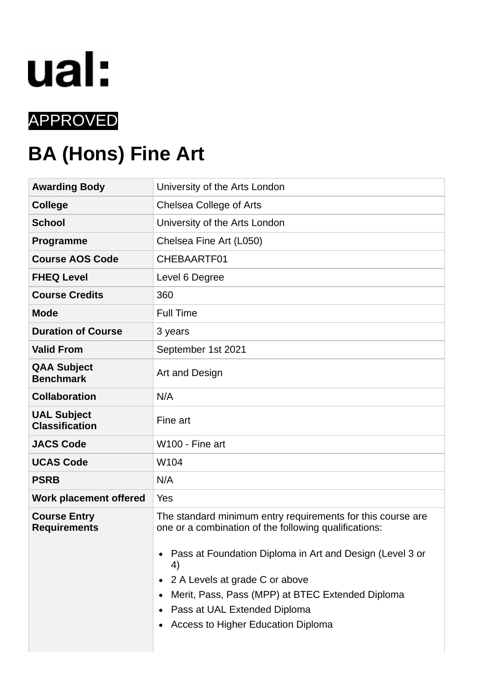

# APPROVED

# **BA (Hons) Fine Art**

| <b>Awarding Body</b>                        | University of the Arts London                                                                                                                                                                                                                                                                                                                      |  |  |  |  |  |  |
|---------------------------------------------|----------------------------------------------------------------------------------------------------------------------------------------------------------------------------------------------------------------------------------------------------------------------------------------------------------------------------------------------------|--|--|--|--|--|--|
| <b>College</b>                              | Chelsea College of Arts                                                                                                                                                                                                                                                                                                                            |  |  |  |  |  |  |
| <b>School</b>                               | University of the Arts London                                                                                                                                                                                                                                                                                                                      |  |  |  |  |  |  |
| Programme                                   | Chelsea Fine Art (L050)                                                                                                                                                                                                                                                                                                                            |  |  |  |  |  |  |
| <b>Course AOS Code</b>                      | CHEBAARTF01                                                                                                                                                                                                                                                                                                                                        |  |  |  |  |  |  |
| <b>FHEQ Level</b>                           | Level 6 Degree                                                                                                                                                                                                                                                                                                                                     |  |  |  |  |  |  |
| <b>Course Credits</b>                       | 360                                                                                                                                                                                                                                                                                                                                                |  |  |  |  |  |  |
| <b>Mode</b>                                 | <b>Full Time</b>                                                                                                                                                                                                                                                                                                                                   |  |  |  |  |  |  |
| <b>Duration of Course</b>                   | 3 years                                                                                                                                                                                                                                                                                                                                            |  |  |  |  |  |  |
| <b>Valid From</b>                           | September 1st 2021                                                                                                                                                                                                                                                                                                                                 |  |  |  |  |  |  |
| <b>QAA Subject</b><br><b>Benchmark</b>      | Art and Design                                                                                                                                                                                                                                                                                                                                     |  |  |  |  |  |  |
| <b>Collaboration</b>                        | N/A                                                                                                                                                                                                                                                                                                                                                |  |  |  |  |  |  |
| <b>UAL Subject</b><br><b>Classification</b> | Fine art                                                                                                                                                                                                                                                                                                                                           |  |  |  |  |  |  |
| <b>JACS Code</b>                            | W100 - Fine art                                                                                                                                                                                                                                                                                                                                    |  |  |  |  |  |  |
| <b>UCAS Code</b>                            | W104                                                                                                                                                                                                                                                                                                                                               |  |  |  |  |  |  |
| <b>PSRB</b>                                 | N/A                                                                                                                                                                                                                                                                                                                                                |  |  |  |  |  |  |
| <b>Work placement offered</b>               | Yes                                                                                                                                                                                                                                                                                                                                                |  |  |  |  |  |  |
| <b>Course Entry</b><br><b>Requirements</b>  | The standard minimum entry requirements for this course are<br>one or a combination of the following qualifications:<br>Pass at Foundation Diploma in Art and Design (Level 3 or<br>4)<br>2 A Levels at grade C or above<br>Merit, Pass, Pass (MPP) at BTEC Extended Diploma<br>Pass at UAL Extended Diploma<br>Access to Higher Education Diploma |  |  |  |  |  |  |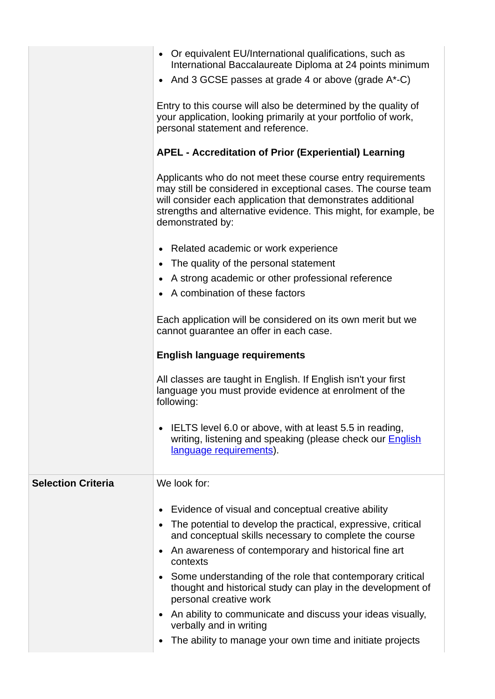|                           | • Or equivalent EU/International qualifications, such as<br>International Baccalaureate Diploma at 24 points minimum<br>And 3 GCSE passes at grade 4 or above (grade $A^*$ -C)<br>$\bullet$                                                                                       |  |  |  |  |  |  |  |  |  |
|---------------------------|-----------------------------------------------------------------------------------------------------------------------------------------------------------------------------------------------------------------------------------------------------------------------------------|--|--|--|--|--|--|--|--|--|
|                           | Entry to this course will also be determined by the quality of<br>your application, looking primarily at your portfolio of work,<br>personal statement and reference.                                                                                                             |  |  |  |  |  |  |  |  |  |
|                           | <b>APEL - Accreditation of Prior (Experiential) Learning</b>                                                                                                                                                                                                                      |  |  |  |  |  |  |  |  |  |
|                           | Applicants who do not meet these course entry requirements<br>may still be considered in exceptional cases. The course team<br>will consider each application that demonstrates additional<br>strengths and alternative evidence. This might, for example, be<br>demonstrated by: |  |  |  |  |  |  |  |  |  |
|                           | Related academic or work experience<br>$\bullet$                                                                                                                                                                                                                                  |  |  |  |  |  |  |  |  |  |
|                           | The quality of the personal statement<br>$\bullet$                                                                                                                                                                                                                                |  |  |  |  |  |  |  |  |  |
|                           | A strong academic or other professional reference<br>A combination of these factors                                                                                                                                                                                               |  |  |  |  |  |  |  |  |  |
|                           |                                                                                                                                                                                                                                                                                   |  |  |  |  |  |  |  |  |  |
|                           | Each application will be considered on its own merit but we<br>cannot guarantee an offer in each case.                                                                                                                                                                            |  |  |  |  |  |  |  |  |  |
|                           | <b>English language requirements</b>                                                                                                                                                                                                                                              |  |  |  |  |  |  |  |  |  |
|                           | All classes are taught in English. If English isn't your first<br>language you must provide evidence at enrolment of the<br>following:                                                                                                                                            |  |  |  |  |  |  |  |  |  |
|                           | IELTS level 6.0 or above, with at least 5.5 in reading,<br>writing, listening and speaking (please check our <b>English</b><br>language requirements).                                                                                                                            |  |  |  |  |  |  |  |  |  |
| <b>Selection Criteria</b> | We look for:                                                                                                                                                                                                                                                                      |  |  |  |  |  |  |  |  |  |
|                           | Evidence of visual and conceptual creative ability<br>٠                                                                                                                                                                                                                           |  |  |  |  |  |  |  |  |  |
|                           | The potential to develop the practical, expressive, critical                                                                                                                                                                                                                      |  |  |  |  |  |  |  |  |  |
|                           | and conceptual skills necessary to complete the course<br>An awareness of contemporary and historical fine art<br>$\bullet$                                                                                                                                                       |  |  |  |  |  |  |  |  |  |
|                           | contexts                                                                                                                                                                                                                                                                          |  |  |  |  |  |  |  |  |  |
|                           | Some understanding of the role that contemporary critical<br>$\bullet$<br>thought and historical study can play in the development of<br>personal creative work                                                                                                                   |  |  |  |  |  |  |  |  |  |
|                           | An ability to communicate and discuss your ideas visually,<br>$\bullet$<br>verbally and in writing                                                                                                                                                                                |  |  |  |  |  |  |  |  |  |
|                           | The ability to manage your own time and initiate projects                                                                                                                                                                                                                         |  |  |  |  |  |  |  |  |  |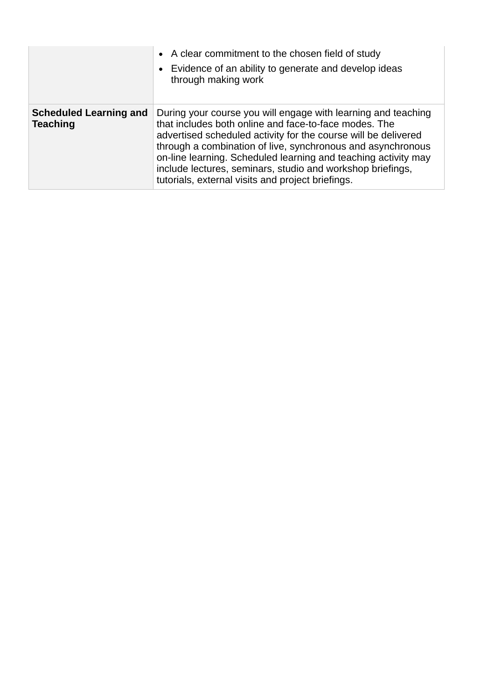|                                                  | • A clear commitment to the chosen field of study<br>• Evidence of an ability to generate and develop ideas<br>through making work                                                                                                                                                                                                                                                                                                           |
|--------------------------------------------------|----------------------------------------------------------------------------------------------------------------------------------------------------------------------------------------------------------------------------------------------------------------------------------------------------------------------------------------------------------------------------------------------------------------------------------------------|
| <b>Scheduled Learning and</b><br><b>Teaching</b> | During your course you will engage with learning and teaching<br>that includes both online and face-to-face modes. The<br>advertised scheduled activity for the course will be delivered<br>through a combination of live, synchronous and asynchronous<br>on-line learning. Scheduled learning and teaching activity may<br>include lectures, seminars, studio and workshop briefings,<br>tutorials, external visits and project briefings. |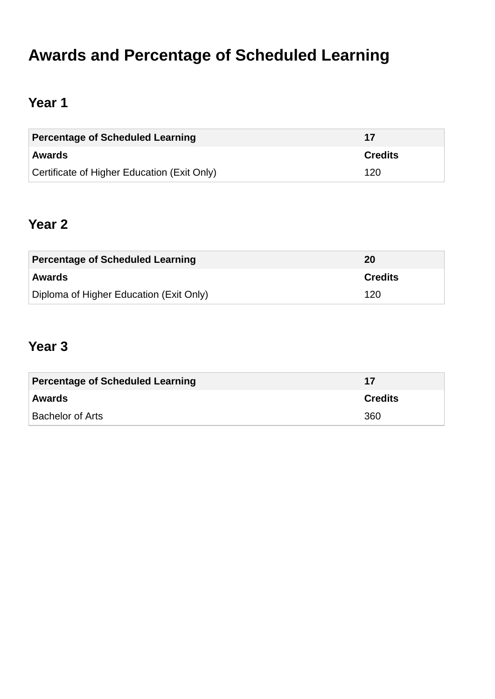# **Awards and Percentage of Scheduled Learning**

# **Year 1**

| Percentage of Scheduled Learning            | -17            |
|---------------------------------------------|----------------|
| <b>Awards</b>                               | <b>Credits</b> |
| Certificate of Higher Education (Exit Only) | 120            |

# **Year 2**

| <b>Percentage of Scheduled Learning</b> | 20             |  |  |  |
|-----------------------------------------|----------------|--|--|--|
| <b>Awards</b>                           | <b>Credits</b> |  |  |  |
| Diploma of Higher Education (Exit Only) | 120            |  |  |  |

# **Year 3**

| <b>Percentage of Scheduled Learning</b> | 17             |  |  |  |
|-----------------------------------------|----------------|--|--|--|
| Awards                                  | <b>Credits</b> |  |  |  |
| <b>Bachelor of Arts</b>                 | 360            |  |  |  |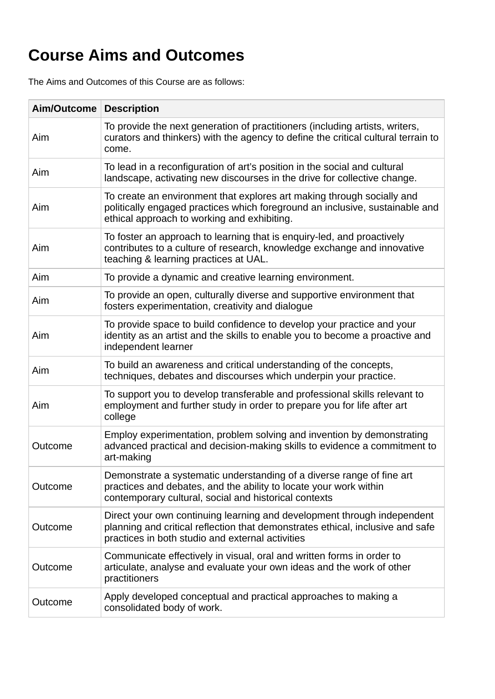# **Course Aims and Outcomes**

The Aims and Outcomes of this Course are as follows:

| Aim/Outcome | <b>Description</b>                                                                                                                                                                                            |  |  |  |  |  |
|-------------|---------------------------------------------------------------------------------------------------------------------------------------------------------------------------------------------------------------|--|--|--|--|--|
| Aim         | To provide the next generation of practitioners (including artists, writers,<br>curators and thinkers) with the agency to define the critical cultural terrain to<br>come.                                    |  |  |  |  |  |
| Aim         | To lead in a reconfiguration of art's position in the social and cultural<br>landscape, activating new discourses in the drive for collective change.                                                         |  |  |  |  |  |
| Aim         | To create an environment that explores art making through socially and<br>politically engaged practices which foreground an inclusive, sustainable and<br>ethical approach to working and exhibiting.         |  |  |  |  |  |
| Aim         | To foster an approach to learning that is enquiry-led, and proactively<br>contributes to a culture of research, knowledge exchange and innovative<br>teaching & learning practices at UAL.                    |  |  |  |  |  |
| Aim         | To provide a dynamic and creative learning environment.                                                                                                                                                       |  |  |  |  |  |
| Aim         | To provide an open, culturally diverse and supportive environment that<br>fosters experimentation, creativity and dialogue                                                                                    |  |  |  |  |  |
| Aim         | To provide space to build confidence to develop your practice and your<br>identity as an artist and the skills to enable you to become a proactive and<br>independent learner                                 |  |  |  |  |  |
| Aim         | To build an awareness and critical understanding of the concepts,<br>techniques, debates and discourses which underpin your practice.                                                                         |  |  |  |  |  |
| Aim         | To support you to develop transferable and professional skills relevant to<br>employment and further study in order to prepare you for life after art<br>college                                              |  |  |  |  |  |
| Outcome     | Employ experimentation, problem solving and invention by demonstrating<br>advanced practical and decision-making skills to evidence a commitment to<br>art-making                                             |  |  |  |  |  |
| Outcome     | Demonstrate a systematic understanding of a diverse range of fine art<br>practices and debates, and the ability to locate your work within<br>contemporary cultural, social and historical contexts           |  |  |  |  |  |
| Outcome     | Direct your own continuing learning and development through independent<br>planning and critical reflection that demonstrates ethical, inclusive and safe<br>practices in both studio and external activities |  |  |  |  |  |
| Outcome     | Communicate effectively in visual, oral and written forms in order to<br>articulate, analyse and evaluate your own ideas and the work of other<br>practitioners                                               |  |  |  |  |  |
| Outcome     | Apply developed conceptual and practical approaches to making a<br>consolidated body of work.                                                                                                                 |  |  |  |  |  |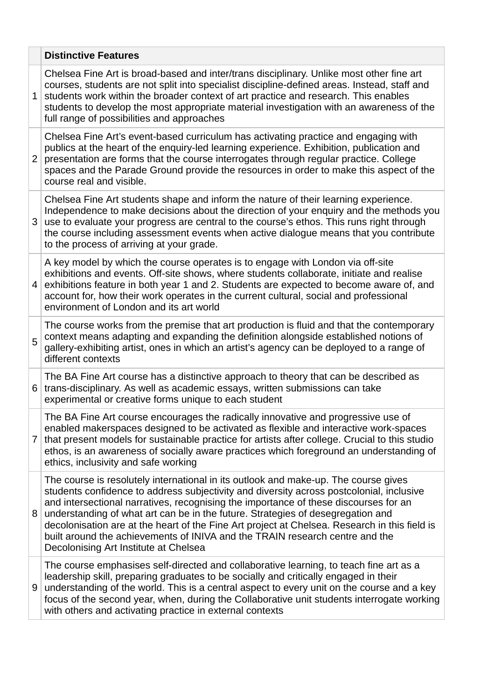|                | <b>Distinctive Features</b>                                                                                                                                                                                                                                                                                                                                                                                                                                                                                                                                                          |
|----------------|--------------------------------------------------------------------------------------------------------------------------------------------------------------------------------------------------------------------------------------------------------------------------------------------------------------------------------------------------------------------------------------------------------------------------------------------------------------------------------------------------------------------------------------------------------------------------------------|
| 1              | Chelsea Fine Art is broad-based and inter/trans disciplinary. Unlike most other fine art<br>courses, students are not split into specialist discipline-defined areas. Instead, staff and<br>students work within the broader context of art practice and research. This enables<br>students to develop the most appropriate material investigation with an awareness of the<br>full range of possibilities and approaches                                                                                                                                                            |
| $\overline{2}$ | Chelsea Fine Art's event-based curriculum has activating practice and engaging with<br>publics at the heart of the enquiry-led learning experience. Exhibition, publication and<br>presentation are forms that the course interrogates through regular practice. College<br>spaces and the Parade Ground provide the resources in order to make this aspect of the<br>course real and visible.                                                                                                                                                                                       |
| 3              | Chelsea Fine Art students shape and inform the nature of their learning experience.<br>Independence to make decisions about the direction of your enquiry and the methods you<br>use to evaluate your progress are central to the course's ethos. This runs right through<br>the course including assessment events when active dialogue means that you contribute<br>to the process of arriving at your grade.                                                                                                                                                                      |
| 4              | A key model by which the course operates is to engage with London via off-site<br>exhibitions and events. Off-site shows, where students collaborate, initiate and realise<br>exhibitions feature in both year 1 and 2. Students are expected to become aware of, and<br>account for, how their work operates in the current cultural, social and professional<br>environment of London and its art world                                                                                                                                                                            |
| 5              | The course works from the premise that art production is fluid and that the contemporary<br>context means adapting and expanding the definition alongside established notions of<br>gallery-exhibiting artist, ones in which an artist's agency can be deployed to a range of<br>different contexts                                                                                                                                                                                                                                                                                  |
| 6              | The BA Fine Art course has a distinctive approach to theory that can be described as<br>trans-disciplinary. As well as academic essays, written submissions can take<br>experimental or creative forms unique to each student                                                                                                                                                                                                                                                                                                                                                        |
| 7              | The BA Fine Art course encourages the radically innovative and progressive use of<br>enabled makerspaces designed to be activated as flexible and interactive work-spaces<br>that present models for sustainable practice for artists after college. Crucial to this studio<br>ethos, is an awareness of socially aware practices which foreground an understanding of<br>ethics, inclusivity and safe working                                                                                                                                                                       |
| 8              | The course is resolutely international in its outlook and make-up. The course gives<br>students confidence to address subjectivity and diversity across postcolonial, inclusive<br>and intersectional narratives, recognising the importance of these discourses for an<br>understanding of what art can be in the future. Strategies of desegregation and<br>decolonisation are at the heart of the Fine Art project at Chelsea. Research in this field is<br>built around the achievements of INIVA and the TRAIN research centre and the<br>Decolonising Art Institute at Chelsea |
| 9              | The course emphasises self-directed and collaborative learning, to teach fine art as a<br>leadership skill, preparing graduates to be socially and critically engaged in their<br>understanding of the world. This is a central aspect to every unit on the course and a key<br>focus of the second year, when, during the Collaborative unit students interrogate working<br>with others and activating practice in external contexts                                                                                                                                               |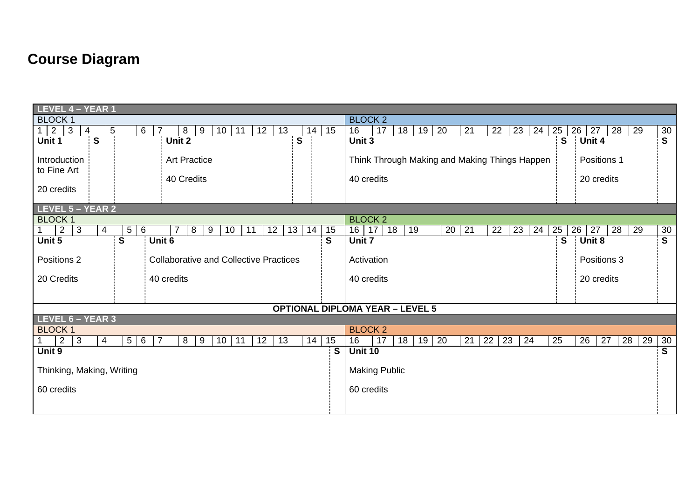# **Course Diagram**

| LEVEL 4 - YEAR 1                                                               |                        |            |                            |          |                      |                                                                                          |                           |                                        |    |    |              |          |                   |          |    |           |          |    |          |                         |
|--------------------------------------------------------------------------------|------------------------|------------|----------------------------|----------|----------------------|------------------------------------------------------------------------------------------|---------------------------|----------------------------------------|----|----|--------------|----------|-------------------|----------|----|-----------|----------|----|----------|-------------------------|
| <b>BLOCK 1</b>                                                                 |                        |            |                            |          |                      |                                                                                          |                           | <b>BLOCK 2</b>                         |    |    |              |          |                   |          |    |           |          |    |          |                         |
| $1 \mid 2$<br>3<br>4                                                           | 5<br>$6^{\circ}$<br>-7 | 8          | 11<br>10<br>9              | 12       | 13                   | 14                                                                                       | 15                        | 16                                     | 17 | 18 | 20<br>19     | 21       | 22                | 23       | 24 | 25        | 26<br>27 | 28 | 29       | 30                      |
| $\mathbf{s}$<br>Unit 1                                                         |                        | Unit 2     |                            |          | S                    |                                                                                          |                           | Unit 3                                 |    |    |              |          |                   |          |    | S         | Unit 4   |    |          | $\overline{\mathsf{s}}$ |
| Introduction<br><b>Art Practice</b><br>to Fine Art<br>40 Credits<br>20 credits |                        |            |                            |          |                      | Think Through Making and Making Things Happen<br>Positions 1<br>40 credits<br>20 credits |                           |                                        |    |    |              |          |                   |          |    |           |          |    |          |                         |
| LEVEL 5 - YEAR 2                                                               |                        |            |                            |          |                      |                                                                                          |                           |                                        |    |    |              |          |                   |          |    |           |          |    |          |                         |
| <b>BLOCK 1</b>                                                                 |                        |            |                            |          |                      |                                                                                          |                           | <b>BLOCK 2</b>                         |    |    |              |          |                   |          |    |           |          |    |          |                         |
| $\overline{2}$<br>3<br>$\overline{4}$<br>1                                     | 5<br>$6\phantom{.}6$   | 8          | 9<br>10                    | 11<br>12 | 13                   | 14                                                                                       | 15                        | 16 17                                  | 18 | 19 |              | 21<br>20 | 22                | 23       | 24 | $25 \mid$ | 26<br>27 | 28 | 29       | 30                      |
| Unit 5                                                                         | $\overline{s}$         | Unit 6     |                            |          |                      |                                                                                          | $\mathbf S$               | Unit 7                                 |    |    |              |          |                   |          |    | S         | Unit 8   |    |          | $\overline{\mathsf{s}}$ |
| Positions 2<br><b>Collaborative and Collective Practices</b>                   |                        |            |                            |          |                      |                                                                                          | Positions 3<br>Activation |                                        |    |    |              |          |                   |          |    |           |          |    |          |                         |
| 20 Credits                                                                     |                        | 40 credits |                            |          |                      |                                                                                          |                           | 40 credits<br>20 credits               |    |    |              |          |                   |          |    |           |          |    |          |                         |
|                                                                                |                        |            |                            |          |                      |                                                                                          |                           |                                        |    |    |              |          |                   |          |    |           |          |    |          |                         |
|                                                                                |                        |            |                            |          |                      |                                                                                          |                           | <b>OPTIONAL DIPLOMA YEAR - LEVEL 5</b> |    |    |              |          |                   |          |    |           |          |    |          |                         |
| LEVEL 6 - YEAR 3                                                               |                        |            |                            |          |                      |                                                                                          |                           |                                        |    |    |              |          |                   |          |    |           |          |    |          |                         |
| <b>BLOCK 1</b>                                                                 |                        |            |                            |          |                      |                                                                                          |                           | <b>BLOCK 2</b>                         |    |    |              |          |                   |          |    |           |          |    |          |                         |
| 3<br>$\overline{4}$<br>$\mathbf{1}$<br>2                                       | $5 \mid 6$<br>7        | 8          | 10 <sup>1</sup><br>11<br>9 | 12       | 13                   | 14                                                                                       | 15                        | 16                                     | 17 | 18 | $19 \mid 20$ |          | $21 \mid 22 \mid$ | 23<br>24 |    | 25        | 26       | 27 | 28<br>29 | 30                      |
| Unit 9                                                                         |                        |            |                            |          |                      |                                                                                          | $\overline{\mathsf{s}}$   | <b>Unit 10</b>                         |    |    |              |          |                   |          |    |           |          |    |          | $\overline{\mathsf{s}}$ |
| Thinking, Making, Writing                                                      |                        |            |                            |          | <b>Making Public</b> |                                                                                          |                           |                                        |    |    |              |          |                   |          |    |           |          |    |          |                         |
| 60 credits                                                                     |                        |            |                            |          |                      |                                                                                          | 60 credits                |                                        |    |    |              |          |                   |          |    |           |          |    |          |                         |
|                                                                                |                        |            |                            |          |                      |                                                                                          |                           |                                        |    |    |              |          |                   |          |    |           |          |    |          |                         |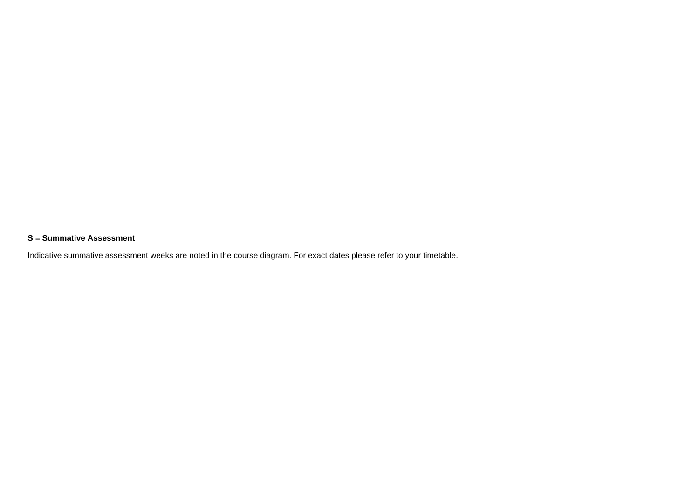#### **S = Summative Assessment**

Indicative summative assessment weeks are noted in the course diagram. For exact dates please refer to your timetable.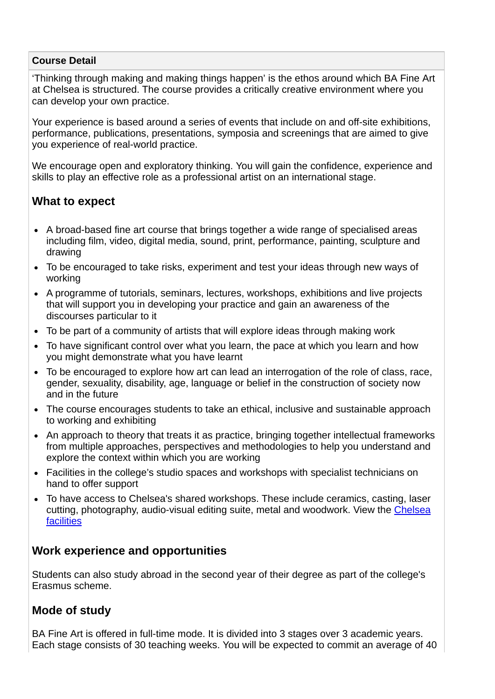#### **Course Detail**

'Thinking through making and making things happen' is the ethos around which BA Fine Art at Chelsea is structured. The course provides a critically creative environment where you can develop your own practice.

Your experience is based around a series of events that include on and off-site exhibitions, performance, publications, presentations, symposia and screenings that are aimed to give you experience of real-world practice.

We encourage open and exploratory thinking. You will gain the confidence, experience and skills to play an effective role as a professional artist on an international stage.

### **What to expect**

- A broad-based fine art course that brings together a wide range of specialised areas including film, video, digital media, sound, print, performance, painting, sculpture and drawing
- To be encouraged to take risks, experiment and test your ideas through new ways of working
- A programme of tutorials, seminars, lectures, workshops, exhibitions and live projects that will support you in developing your practice and gain an awareness of the discourses particular to it
- To be part of a community of artists that will explore ideas through making work
- To have significant control over what you learn, the pace at which you learn and how you might demonstrate what you have learnt
- To be encouraged to explore how art can lead an interrogation of the role of class, race, gender, sexuality, disability, age, language or belief in the construction of society now and in the future
- The course encourages students to take an ethical, inclusive and sustainable approach to working and exhibiting
- An approach to theory that treats it as practice, bringing together intellectual frameworks from multiple approaches, perspectives and methodologies to help you understand and explore the context within which you are working
- Facilities in the college's studio spaces and workshops with specialist technicians on hand to offer support
- To have access to Chelsea's shared workshops. These include ceramics, casting, laser [cutting, photography, audio-visual editing suite, metal and woodwork. View the Chelsea](https://www.arts.ac.uk/colleges/chelsea-college-of-arts/student-life-at-chelsea/facilities) facilities

### **Work experience and opportunities**

Students can also study abroad in the second year of their degree as part of the college's Erasmus scheme.

### **Mode of study**

BA Fine Art is offered in full-time mode. It is divided into 3 stages over 3 academic years. Each stage consists of 30 teaching weeks. You will be expected to commit an average of 40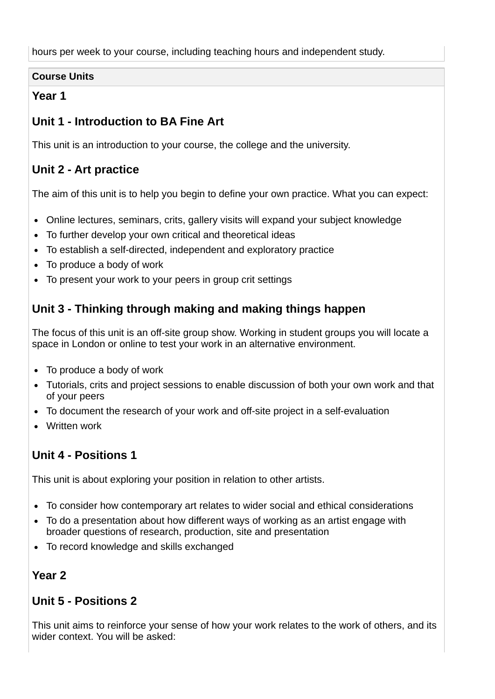hours per week to your course, including teaching hours and independent study.

#### **Course Units**

### **Year 1**

# **Unit 1 - Introduction to BA Fine Art**

This unit is an introduction to your course, the college and the university.

# **Unit 2 - Art practice**

The aim of this unit is to help you begin to define your own practice. What you can expect:

- Online lectures, seminars, crits, gallery visits will expand your subject knowledge
- To further develop your own critical and theoretical ideas
- To establish a self-directed, independent and exploratory practice  $\bullet$
- To produce a body of work
- To present your work to your peers in group crit settings

# **Unit 3 - Thinking through making and making things happen**

The focus of this unit is an off-site group show. Working in student groups you will locate a space in London or online to test your work in an alternative environment.

- To produce a body of work
- Tutorials, crits and project sessions to enable discussion of both your own work and that of your peers
- To document the research of your work and off-site project in a self-evaluation
- Written work

## **Unit 4 - Positions 1**

This unit is about exploring your position in relation to other artists.

- To consider how contemporary art relates to wider social and ethical considerations
- To do a presentation about how different ways of working as an artist engage with  $\bullet$ broader questions of research, production, site and presentation
- To record knowledge and skills exchanged

## **Year 2**

## **Unit 5 - Positions 2**

This unit aims to reinforce your sense of how your work relates to the work of others, and its wider context. You will be asked: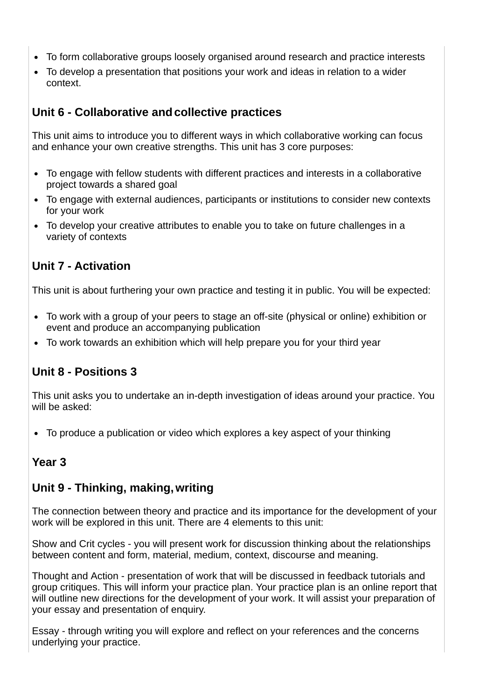- To form collaborative groups loosely organised around research and practice interests
- To develop a presentation that positions your work and ideas in relation to a wider context.

# **Unit 6 - Collaborative andcollective practices**

This unit aims to introduce you to different ways in which collaborative working can focus and enhance your own creative strengths. This unit has 3 core purposes:

- To engage with fellow students with different practices and interests in a collaborative project towards a shared goal
- To engage with external audiences, participants or institutions to consider new contexts for your work
- To develop your creative attributes to enable you to take on future challenges in a variety of contexts

# **Unit 7 - Activation**

This unit is about furthering your own practice and testing it in public. You will be expected:

- To work with a group of your peers to stage an off-site (physical or online) exhibition or event and produce an accompanying publication
- To work towards an exhibition which will help prepare you for your third year

# **Unit 8 - Positions 3**

This unit asks you to undertake an in-depth investigation of ideas around your practice. You will be asked:

To produce a publication or video which explores a key aspect of your thinking

## **Year 3**

## **Unit 9 - Thinking, making,writing**

The connection between theory and practice and its importance for the development of your work will be explored in this unit. There are 4 elements to this unit:

Show and Crit cycles - you will present work for discussion thinking about the relationships between content and form, material, medium, context, discourse and meaning.

Thought and Action - presentation of work that will be discussed in feedback tutorials and group critiques. This will inform your practice plan. Your practice plan is an online report that will outline new directions for the development of your work. It will assist your preparation of your essay and presentation of enquiry.

Essay - through writing you will explore and reflect on your references and the concerns underlying your practice.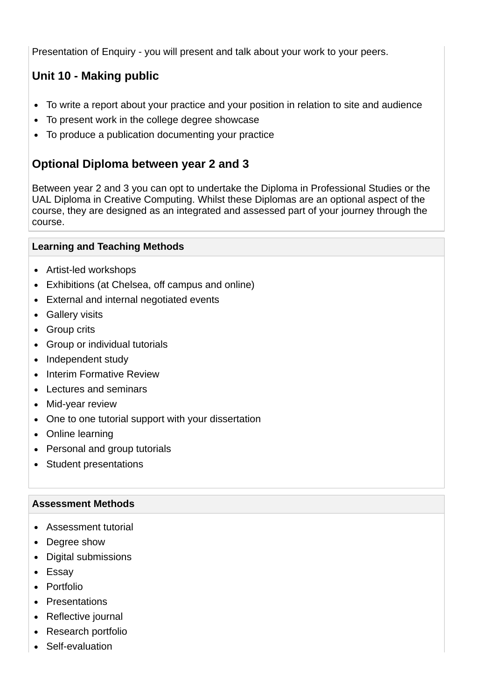Presentation of Enquiry - you will present and talk about your work to your peers.

# **Unit 10 - Making public**

- To write a report about your practice and your position in relation to site and audience  $\bullet$
- To present work in the college degree showcase  $\bullet$
- To produce a publication documenting your practice

## **Optional Diploma between year 2 and 3**

Between year 2 and 3 you can opt to undertake the Diploma in Professional Studies or the UAL Diploma in Creative Computing. Whilst these Diplomas are an optional aspect of the course, they are designed as an integrated and assessed part of your journey through the course.

#### **Learning and Teaching Methods**

- Artist-led workshops
- Exhibitions (at Chelsea, off campus and online)
- External and internal negotiated events
- Gallery visits
- Group crits
- Group or individual tutorials
- Independent study
- Interim Formative Review
- Lectures and seminars
- Mid-year review
- One to one tutorial support with your dissertation
- Online learning
- Personal and group tutorials
- Student presentations

#### **Assessment Methods**

- Assessment tutorial
- Degree show
- Digital submissions
- Essay
- Portfolio
- Presentations
- Reflective journal
- Research portfolio
- Self-evaluation